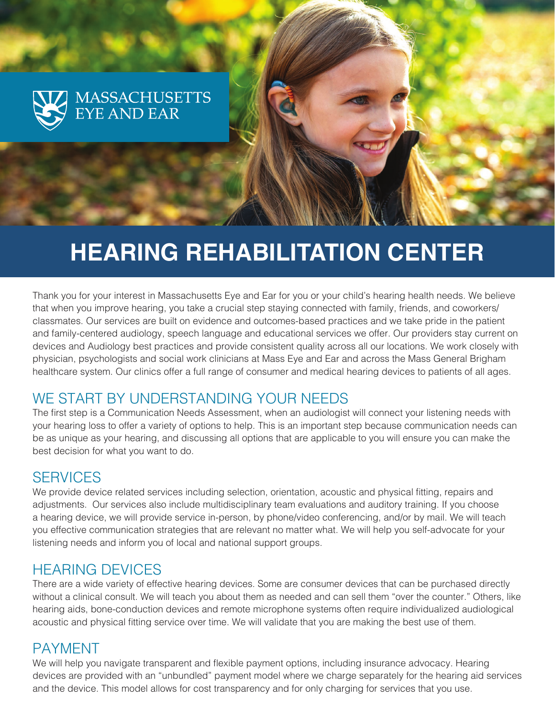

# **HEARING REHABILITATION CENTER**

Thank you for your interest in Massachusetts Eye and Ear for you or your child's hearing health needs. We believe that when you improve hearing, you take a crucial step staying connected with family, friends, and coworkers/ classmates. Our services are built on evidence and outcomes-based practices and we take pride in the patient and family-centered audiology, speech language and educational services we offer. Our providers stay current on devices and Audiology best practices and provide consistent quality across all our locations. We work closely with physician, psychologists and social work clinicians at Mass Eye and Ear and across the Mass General Brigham healthcare system. Our clinics offer a full range of consumer and medical hearing devices to patients of all ages.

## WE START BY UNDERSTANDING YOUR NEEDS

The first step is a Communication Needs Assessment, when an audiologist will connect your listening needs with your hearing loss to offer a variety of options to help. This is an important step because communication needs can be as unique as your hearing, and discussing all options that are applicable to you will ensure you can make the best decision for what you want to do.

#### **SERVICES**

We provide device related services including selection, orientation, acoustic and physical fitting, repairs and adjustments. Our services also include multidisciplinary team evaluations and auditory training. If you choose a hearing device, we will provide service in-person, by phone/video conferencing, and/or by mail. We will teach you effective communication strategies that are relevant no matter what. We will help you self-advocate for your listening needs and inform you of local and national support groups.

#### HEARING DEVICES

There are a wide variety of effective hearing devices. Some are consumer devices that can be purchased directly without a clinical consult. We will teach you about them as needed and can sell them "over the counter." Others, like hearing aids, bone-conduction devices and remote microphone systems often require individualized audiological acoustic and physical fitting service over time. We will validate that you are making the best use of them.

# PAYMENT

We will help you navigate transparent and flexible payment options, including insurance advocacy. Hearing devices are provided with an "unbundled" payment model where we charge separately for the hearing aid services and the device. This model allows for cost transparency and for only charging for services that you use.